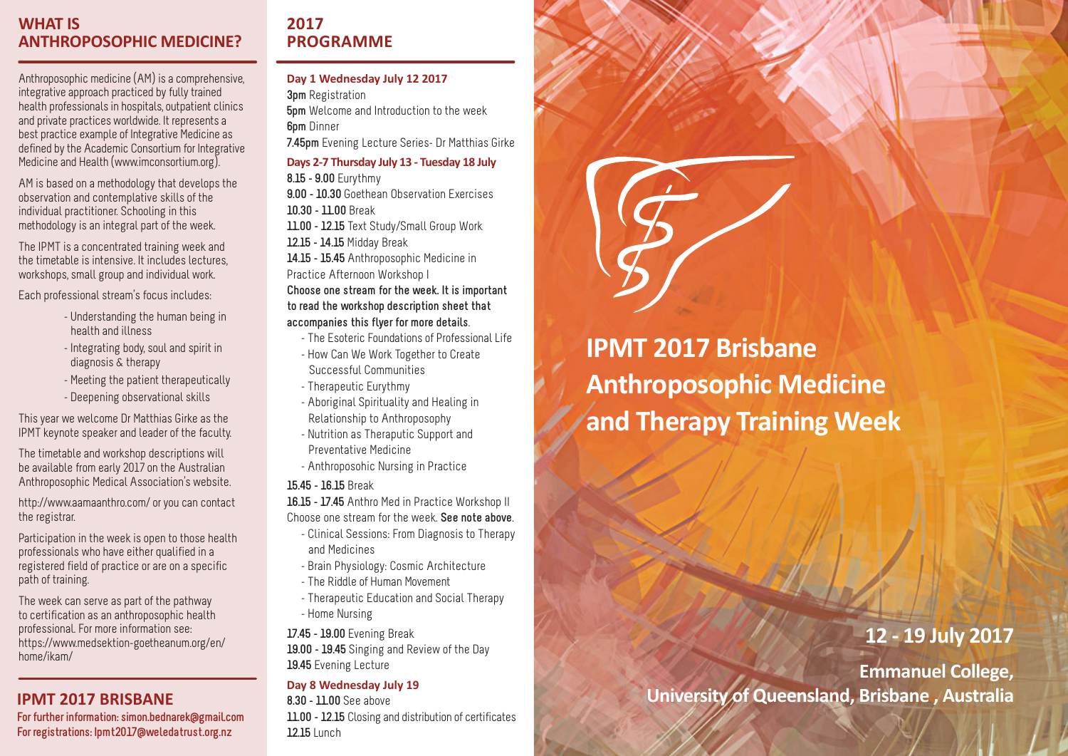## **WHAT IS ANTHROPOSOPHIC MEDICINE?**

Anthroposophic medicine (AM) is a comprehensive, integrative approach practiced by fully trained health professionals in hospitals, outpatient clinics and private practices worldwide. It represents a best practice example of Integrative Medicine as defined by the Academic Consortium for Integrative Medicine and Health (www.imconsortium.org).

AM is based on a methodology that develops the observation and contemplative skills of the individual practitioner. Schooling in this methodology is an integral part of the week.

The IPMT is a concentrated training week and the timetable is intensive. It includes lectures, workshops, small group and individual work.

Each professional stream's focus includes:

- - Understanding the human being in health and illness
- - Integrating body, soul and spirit in diagnosis & therapy
- Meeting the patient therapeutically
- - Deepening observational skills

This year we welcome Dr Matthias Girke as the IPMT keynote speaker and leader of the faculty.

The timetable and workshop descriptions will be available from early 2017 on the Australian Anthroposophic Medical Association's website.

http://www.aamaanthro.com/ or you can contact the registrar.

Participation in the week is open to those health professionals who have either qualified in a registered field of practice or are on a specific path of training.

The week can serve as part of the pathway to certification as an anthroposophic health professional. For more information see: https://www.medsektion-goetheanum.org/en/ home/ikam/

### **IPMT 2017 BRISBANE**

**For further information: simon.bednarek@gmail.com For registrations: Ipmt2017@weledatrust.org.nz**

# **2017 PROGRAMME**

**Day 1 Wednesday July 12 2017 3pm** Registration **5pm** Welcome and Introduction to the week **6pm** Dinner **7.45pm** Evening Lecture Series- Dr Matthias Girke **Days 2-7 Thursday July 13 - Tuesday 18 July 8.15 - 9.00** Eurythmy **9.00 - 10.30** Goethean Observation Exercises **10.30 - 11.00** Break **11.00 - 12.15** Text Study/Small Group Work **12.15 - 14.15** Midday Break **14.15 - 15.45** Anthroposophic Medicine in Practice Afternoon Workshop I **Choose one stream for the week. It is important to read the workshop description sheet that accompanies this flyer for more details**.

- The Esoteric Foundations of Professional Life
- How Can We Work Together to Create Successful Communities
- Therapeutic Eurythmy
- Aboriginal Spirituality and Healing in Relationship to Anthroposophy
- Nutrition as Theraputic Support and Preventative Medicine
- Anthroposohic Nursing in Practice

#### **15.45 - 16.15** Break

**16.15 - 17.45** Anthro Med in Practice Workshop II

- Choose one stream for the week. **See note above**. - Clinical Sessions: From Diagnosis to Therapy
	- and Medicines
	- Brain Physiology: Cosmic Architecture
	- The Riddle of Human Movement
	- Therapeutic Education and Social Therapy - Home Nursing

**17.45 - 19.00** Evening Break **19.00 - 19.45** Singing and Review of the Day **19.45** Evening Lecture

#### **Day 8 Wednesday July 19**

**8.30 - 11.00** See above **11.00 - 12.15** Closing and distribution of certificates **12.15** Lunch

**IPMT 2017 Brisbane Anthroposophic Medicine and Therapy Training Week**

# **12 - 19 July 2017**

**Emmanuel College, University of Queensland, Brisbane , Australia**